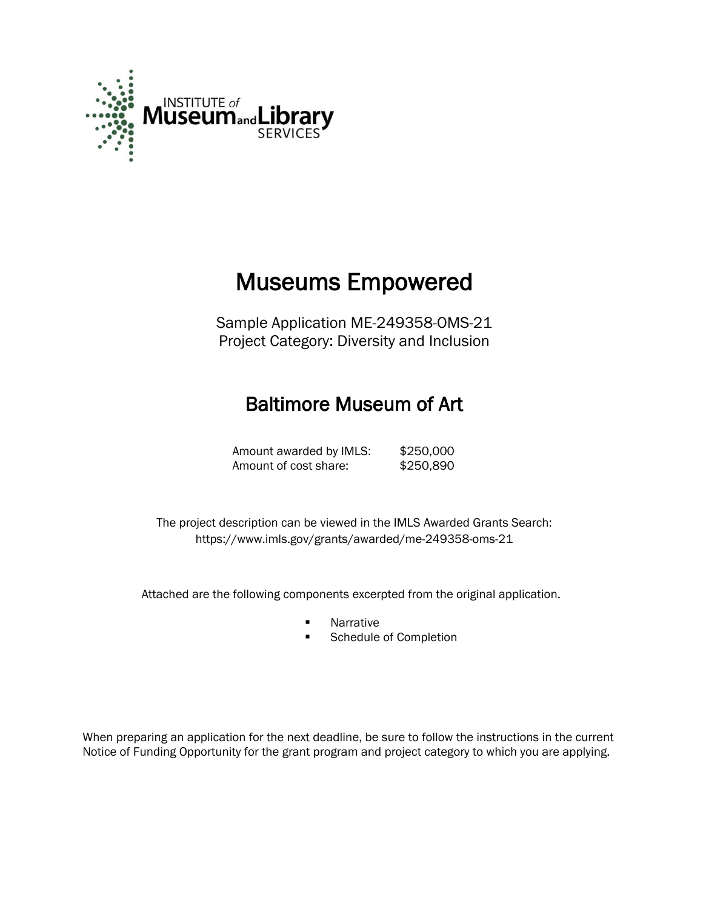

# Museums Empowered

Sample Application ME-249358-OMS-21 Project Category: Diversity and Inclusion

# Baltimore Museum of Art

Amount awarded by IMLS: \$250,000 Amount of cost share: \$250,890

 The project description can be viewed in the IMLS Awarded Grants Search: <https://www.imls.gov/grants/awarded/me-249358-oms-21>

Attached are the following components excerpted from the original application.

- **Narrative**
- **Schedule of Completion**

When preparing an application for the next deadline, be sure to follow the instructions in the current Notice of Funding Opportunity for the grant program and project category to which you are applying.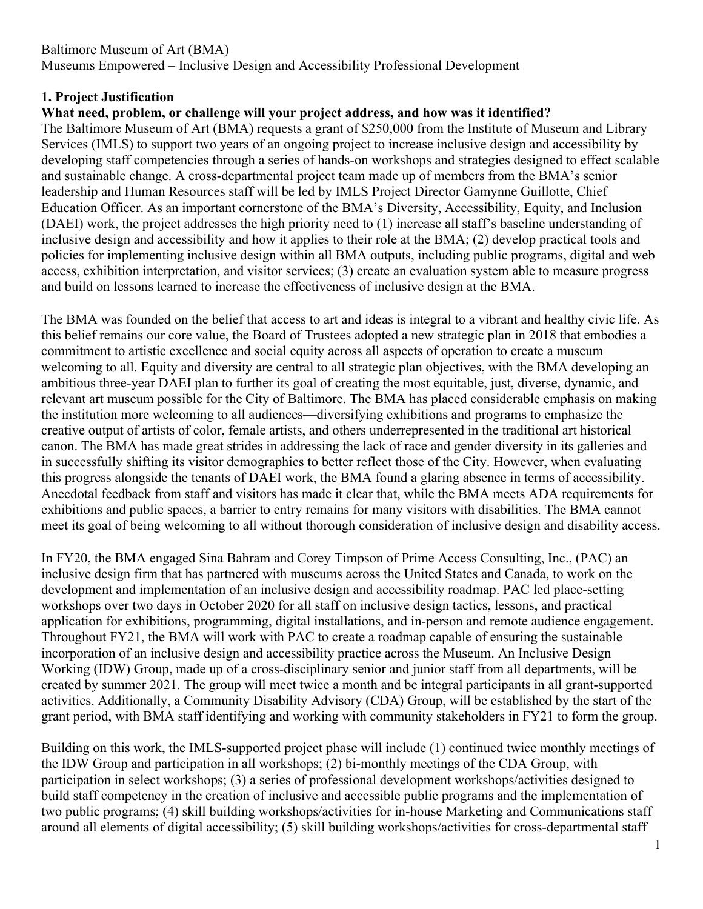# **1. Project Justification**

# **What need, problem, or challenge will your project address, and how was it identified?**

The Baltimore Museum of Art (BMA) requests a grant of \$250,000 from the Institute of Museum and Library Services (IMLS) to support two years of an ongoing project to increase inclusive design and accessibility by developing staff competencies through a series of hands-on workshops and strategies designed to effect scalable and sustainable change. A cross-departmental project team made up of members from the BMA's senior leadership and Human Resources staff will be led by IMLS Project Director Gamynne Guillotte, Chief Education Officer. As an important cornerstone of the BMA's Diversity, Accessibility, Equity, and Inclusion (DAEI) work, the project addresses the high priority need to (1) increase all staff's baseline understanding of inclusive design and accessibility and how it applies to their role at the BMA; (2) develop practical tools and policies for implementing inclusive design within all BMA outputs, including public programs, digital and web access, exhibition interpretation, and visitor services; (3) create an evaluation system able to measure progress and build on lessons learned to increase the effectiveness of inclusive design at the BMA.

The BMA was founded on the belief that access to art and ideas is integral to a vibrant and healthy civic life. As this belief remains our core value, the Board of Trustees adopted a new strategic plan in 2018 that embodies a commitment to artistic excellence and social equity across all aspects of operation to create a museum welcoming to all. Equity and diversity are central to all strategic plan objectives, with the BMA developing an ambitious three-year DAEI plan to further its goal of creating the most equitable, just, diverse, dynamic, and relevant art museum possible for the City of Baltimore. The BMA has placed considerable emphasis on making the institution more welcoming to all audiences—diversifying exhibitions and programs to emphasize the creative output of artists of color, female artists, and others underrepresented in the traditional art historical canon. The BMA has made great strides in addressing the lack of race and gender diversity in its galleries and in successfully shifting its visitor demographics to better reflect those of the City. However, when evaluating this progress alongside the tenants of DAEI work, the BMA found a glaring absence in terms of accessibility. Anecdotal feedback from staff and visitors has made it clear that, while the BMA meets ADA requirements for exhibitions and public spaces, a barrier to entry remains for many visitors with disabilities. The BMA cannot meet its goal of being welcoming to all without thorough consideration of inclusive design and disability access.

In FY20, the BMA engaged Sina Bahram and Corey Timpson of Prime Access Consulting, Inc., (PAC) an inclusive design firm that has partnered with museums across the United States and Canada, to work on the development and implementation of an inclusive design and accessibility roadmap. PAC led place-setting workshops over two days in October 2020 for all staff on inclusive design tactics, lessons, and practical application for exhibitions, programming, digital installations, and in-person and remote audience engagement. Throughout FY21, the BMA will work with PAC to create a roadmap capable of ensuring the sustainable incorporation of an inclusive design and accessibility practice across the Museum. An Inclusive Design Working (IDW) Group, made up of a cross-disciplinary senior and junior staff from all departments, will be created by summer 2021. The group will meet twice a month and be integral participants in all grant-supported activities. Additionally, a Community Disability Advisory (CDA) Group, will be established by the start of the grant period, with BMA staff identifying and working with community stakeholders in FY21 to form the group.

Building on this work, the IMLS-supported project phase will include (1) continued twice monthly meetings of the IDW Group and participation in all workshops; (2) bi-monthly meetings of the CDA Group, with participation in select workshops; (3) a series of professional development workshops/activities designed to build staff competency in the creation of inclusive and accessible public programs and the implementation of two public programs; (4) skill building workshops/activities for in-house Marketing and Communications staff around all elements of digital accessibility; (5) skill building workshops/activities for cross-departmental staff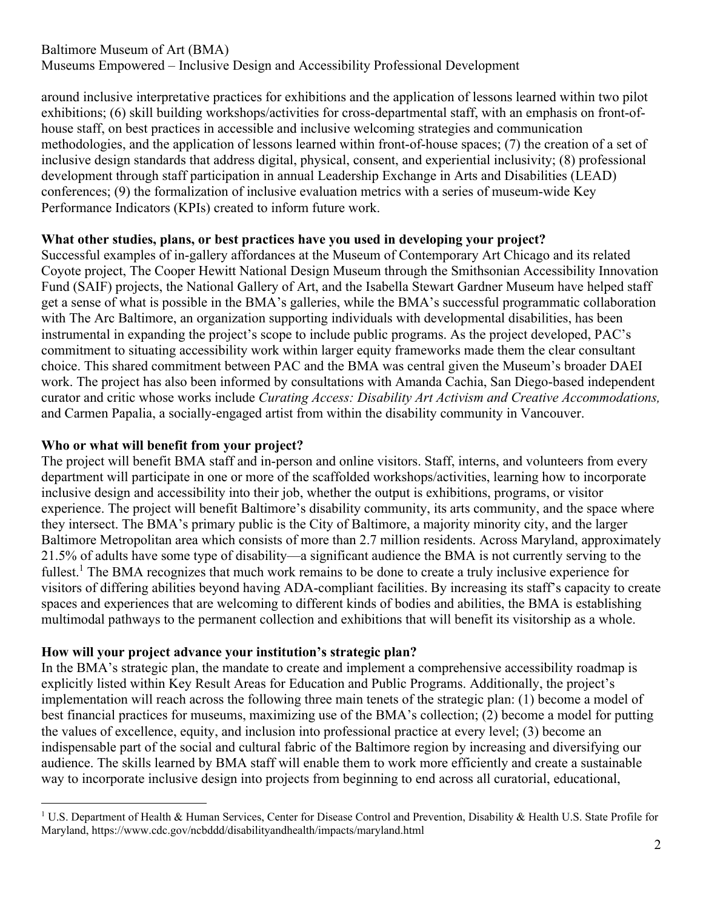around inclusive interpretative practices for exhibitions and the application of lessons learned within two pilot exhibitions; (6) skill building workshops/activities for cross-departmental staff, with an emphasis on front-ofhouse staff, on best practices in accessible and inclusive welcoming strategies and communication methodologies, and the application of lessons learned within front-of-house spaces; (7) the creation of a set of inclusive design standards that address digital, physical, consent, and experiential inclusivity; (8) professional development through staff participation in annual Leadership Exchange in Arts and Disabilities (LEAD) conferences; (9) the formalization of inclusive evaluation metrics with a series of museum-wide Key Performance Indicators (KPIs) created to inform future work.

# **What other studies, plans, or best practices have you used in developing your project?**

Successful examples of in-gallery affordances at the Museum of Contemporary Art Chicago and its related Coyote project, The Cooper Hewitt National Design Museum through the Smithsonian Accessibility Innovation Fund (SAIF) projects, the National Gallery of Art, and the Isabella Stewart Gardner Museum have helped staff get a sense of what is possible in the BMA's galleries, while the BMA's successful programmatic collaboration with The Arc Baltimore, an organization supporting individuals with developmental disabilities, has been instrumental in expanding the project's scope to include public programs. As the project developed, PAC's commitment to situating accessibility work within larger equity frameworks made them the clear consultant choice. This shared commitment between PAC and the BMA was central given the Museum's broader DAEI work. The project has also been informed by consultations with Amanda Cachia, San Diego-based independent curator and critic whose works include *Curating Access: Disability Art Activism and Creative Accommodations,* and Carmen Papalia, a socially-engaged artist from within the disability community in Vancouver.

# **Who or what will benefit from your project?**

The project will benefit BMA staff and in-person and online visitors. Staff, interns, and volunteers from every department will participate in one or more of the scaffolded workshops/activities, learning how to incorporate inclusive design and accessibility into their job, whether the output is exhibitions, programs, or visitor experience. The project will benefit Baltimore's disability community, its arts community, and the space where they intersect. The BMA's primary public is the City of Baltimore, a majority minority city, and the larger Baltimore Metropolitan area which consists of more than 2.7 million residents. Across Maryland, approximately 21.5% of adults have some type of disability—a significant audience the BMA is not currently serving to the fullest.<sup>1</sup> The BMA recognizes that much work remains to be done to create a truly inclusive experience for visitors of differing abilities beyond having ADA-compliant facilities. By increasing its staff's capacity to create spaces and experiences that are welcoming to different kinds of bodies and abilities, the BMA is establishing multimodal pathways to the permanent collection and exhibitions that will benefit its visitorship as a whole.

#### **How will your project advance your institution's strategic plan?**

In the BMA's strategic plan, the mandate to create and implement a comprehensive accessibility roadmap is explicitly listed within Key Result Areas for Education and Public Programs. Additionally, the project's implementation will reach across the following three main tenets of the strategic plan: (1) become a model of best financial practices for museums, maximizing use of the BMA's collection; (2) become a model for putting the values of excellence, equity, and inclusion into professional practice at every level; (3) become an indispensable part of the social and cultural fabric of the Baltimore region by increasing and diversifying our audience. The skills learned by BMA staff will enable them to work more efficiently and create a sustainable way to incorporate inclusive design into projects from beginning to end across all curatorial, educational,

<sup>&</sup>lt;sup>1</sup> U.S. Department of Health & Human Services, Center for Disease Control and Prevention, Disability & Health U.S. State Profile for Maryland, https://www.cdc.gov/ncbddd/disabilityandhealth/impacts/maryland.html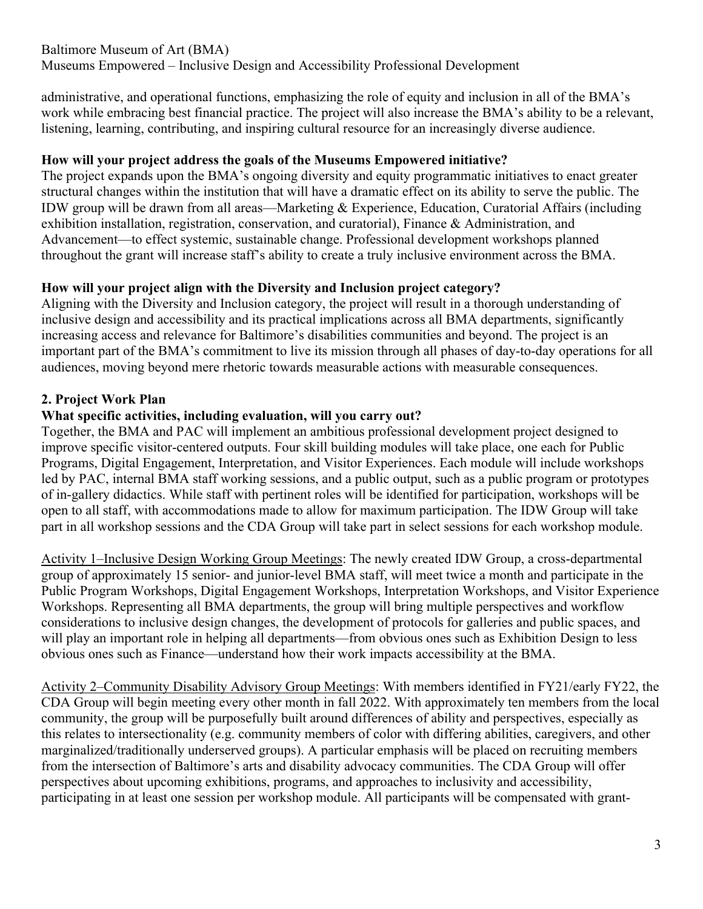administrative, and operational functions, emphasizing the role of equity and inclusion in all of the BMA's work while embracing best financial practice. The project will also increase the BMA's ability to be a relevant, listening, learning, contributing, and inspiring cultural resource for an increasingly diverse audience.

# **How will your project address the goals of the Museums Empowered initiative?**

The project expands upon the BMA's ongoing diversity and equity programmatic initiatives to enact greater structural changes within the institution that will have a dramatic effect on its ability to serve the public. The IDW group will be drawn from all areas—Marketing & Experience, Education, Curatorial Affairs (including exhibition installation, registration, conservation, and curatorial), Finance & Administration, and Advancement—to effect systemic, sustainable change. Professional development workshops planned throughout the grant will increase staff's ability to create a truly inclusive environment across the BMA.

# **How will your project align with the Diversity and Inclusion project category?**

Aligning with the Diversity and Inclusion category, the project will result in a thorough understanding of inclusive design and accessibility and its practical implications across all BMA departments, significantly increasing access and relevance for Baltimore's disabilities communities and beyond. The project is an important part of the BMA's commitment to live its mission through all phases of day-to-day operations for all audiences, moving beyond mere rhetoric towards measurable actions with measurable consequences.

# **2. Project Work Plan**

# **What specific activities, including evaluation, will you carry out?**

Together, the BMA and PAC will implement an ambitious professional development project designed to improve specific visitor-centered outputs. Four skill building modules will take place, one each for Public Programs, Digital Engagement, Interpretation, and Visitor Experiences. Each module will include workshops led by PAC, internal BMA staff working sessions, and a public output, such as a public program or prototypes of in-gallery didactics. While staff with pertinent roles will be identified for participation, workshops will be open to all staff, with accommodations made to allow for maximum participation. The IDW Group will take part in all workshop sessions and the CDA Group will take part in select sessions for each workshop module.

Activity 1–Inclusive Design Working Group Meetings: The newly created IDW Group, a cross-departmental group of approximately 15 senior- and junior-level BMA staff, will meet twice a month and participate in the Public Program Workshops, Digital Engagement Workshops, Interpretation Workshops, and Visitor Experience Workshops. Representing all BMA departments, the group will bring multiple perspectives and workflow considerations to inclusive design changes, the development of protocols for galleries and public spaces, and will play an important role in helping all departments—from obvious ones such as Exhibition Design to less obvious ones such as Finance—understand how their work impacts accessibility at the BMA.

Activity 2–Community Disability Advisory Group Meetings: With members identified in FY21/early FY22, the CDA Group will begin meeting every other month in fall 2022. With approximately ten members from the local community, the group will be purposefully built around differences of ability and perspectives, especially as this relates to intersectionality (e.g. community members of color with differing abilities, caregivers, and other marginalized/traditionally underserved groups). A particular emphasis will be placed on recruiting members from the intersection of Baltimore's arts and disability advocacy communities. The CDA Group will offer perspectives about upcoming exhibitions, programs, and approaches to inclusivity and accessibility, participating in at least one session per workshop module. All participants will be compensated with grant-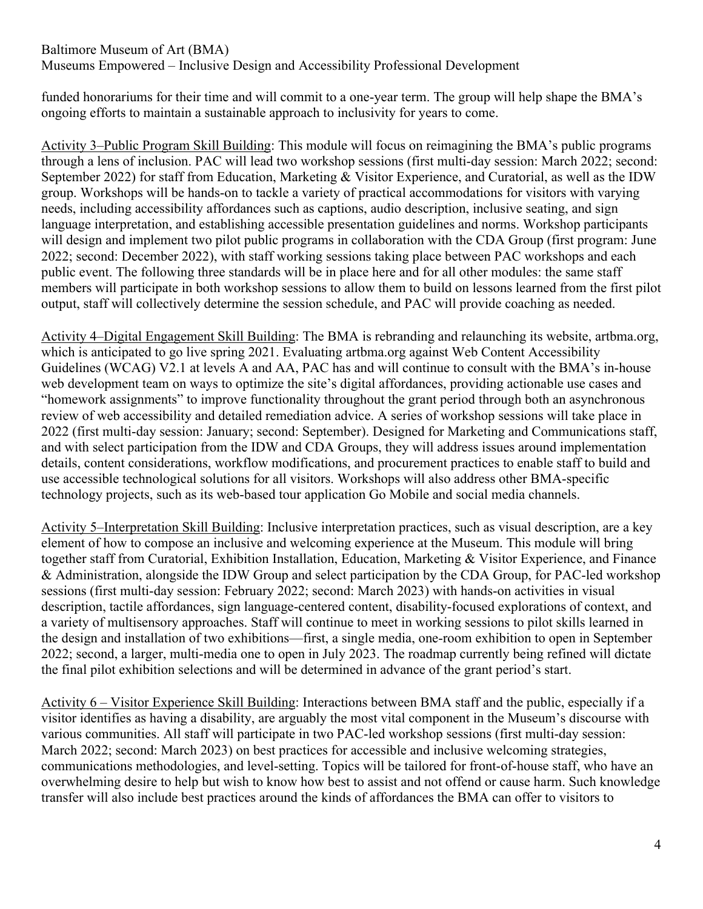# Baltimore Museum of Art (BMA)

Museums Empowered – Inclusive Design and Accessibility Professional Development

funded honorariums for their time and will commit to a one-year term. The group will help shape the BMA's ongoing efforts to maintain a sustainable approach to inclusivity for years to come.

Activity 3–Public Program Skill Building: This module will focus on reimagining the BMA's public programs through a lens of inclusion. PAC will lead two workshop sessions (first multi-day session: March 2022; second: September 2022) for staff from Education, Marketing & Visitor Experience, and Curatorial, as well as the IDW group. Workshops will be hands-on to tackle a variety of practical accommodations for visitors with varying needs, including accessibility affordances such as captions, audio description, inclusive seating, and sign language interpretation, and establishing accessible presentation guidelines and norms. Workshop participants will design and implement two pilot public programs in collaboration with the CDA Group (first program: June 2022; second: December 2022), with staff working sessions taking place between PAC workshops and each public event. The following three standards will be in place here and for all other modules: the same staff members will participate in both workshop sessions to allow them to build on lessons learned from the first pilot output, staff will collectively determine the session schedule, and PAC will provide coaching as needed.

Activity 4–Digital Engagement Skill Building: The BMA is rebranding and relaunching its website, artbma.org, which is anticipated to go live spring 2021. Evaluating artbma.org against Web Content Accessibility Guidelines (WCAG) V2.1 at levels A and AA, PAC has and will continue to consult with the BMA's in-house web development team on ways to optimize the site's digital affordances, providing actionable use cases and "homework assignments" to improve functionality throughout the grant period through both an asynchronous review of web accessibility and detailed remediation advice. A series of workshop sessions will take place in 2022 (first multi-day session: January; second: September). Designed for Marketing and Communications staff, and with select participation from the IDW and CDA Groups, they will address issues around implementation details, content considerations, workflow modifications, and procurement practices to enable staff to build and use accessible technological solutions for all visitors. Workshops will also address other BMA-specific technology projects, such as its web-based tour application Go Mobile and social media channels.

Activity 5–Interpretation Skill Building: Inclusive interpretation practices, such as visual description, are a key element of how to compose an inclusive and welcoming experience at the Museum. This module will bring together staff from Curatorial, Exhibition Installation, Education, Marketing & Visitor Experience, and Finance & Administration, alongside the IDW Group and select participation by the CDA Group, for PAC-led workshop sessions (first multi-day session: February 2022; second: March 2023) with hands-on activities in visual description, tactile affordances, sign language-centered content, disability-focused explorations of context, and a variety of multisensory approaches. Staff will continue to meet in working sessions to pilot skills learned in the design and installation of two exhibitions—first, a single media, one-room exhibition to open in September 2022; second, a larger, multi-media one to open in July 2023. The roadmap currently being refined will dictate the final pilot exhibition selections and will be determined in advance of the grant period's start.

Activity 6 – Visitor Experience Skill Building: Interactions between BMA staff and the public, especially if a visitor identifies as having a disability, are arguably the most vital component in the Museum's discourse with various communities. All staff will participate in two PAC-led workshop sessions (first multi-day session: March 2022; second: March 2023) on best practices for accessible and inclusive welcoming strategies, communications methodologies, and level-setting. Topics will be tailored for front-of-house staff, who have an overwhelming desire to help but wish to know how best to assist and not offend or cause harm. Such knowledge transfer will also include best practices around the kinds of affordances the BMA can offer to visitors to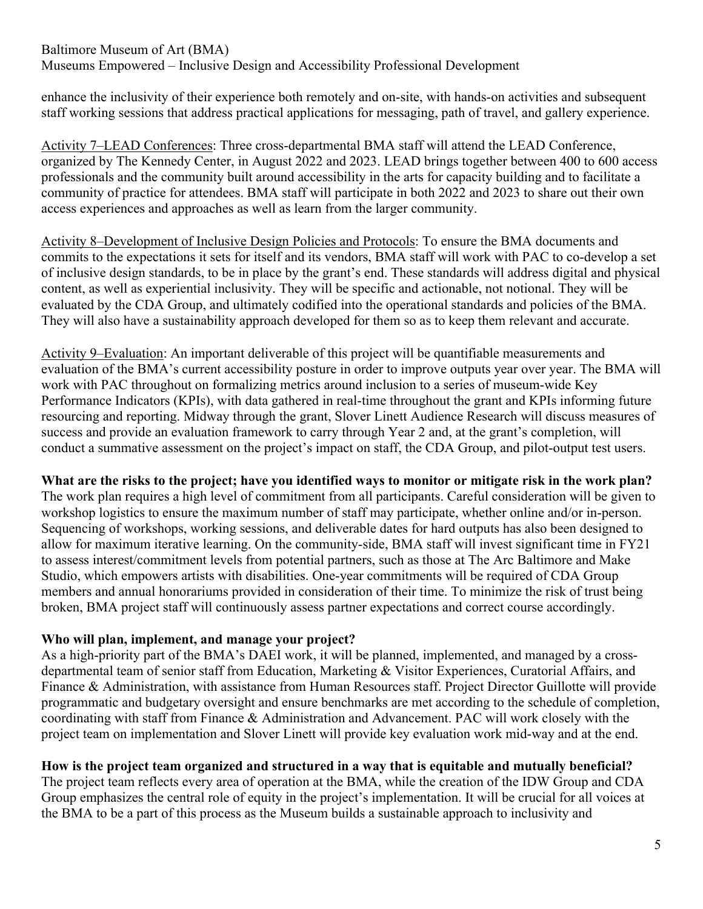enhance the inclusivity of their experience both remotely and on-site, with hands-on activities and subsequent staff working sessions that address practical applications for messaging, path of travel, and gallery experience.

Activity 7–LEAD Conferences: Three cross-departmental BMA staff will attend the LEAD Conference, organized by The Kennedy Center, in August 2022 and 2023. LEAD brings together between 400 to 600 access professionals and the community built around accessibility in the arts for capacity building and to facilitate a community of practice for attendees. BMA staff will participate in both 2022 and 2023 to share out their own access experiences and approaches as well as learn from the larger community.

Activity 8–Development of Inclusive Design Policies and Protocols: To ensure the BMA documents and commits to the expectations it sets for itself and its vendors, BMA staff will work with PAC to co-develop a set of inclusive design standards, to be in place by the grant's end. These standards will address digital and physical content, as well as experiential inclusivity. They will be specific and actionable, not notional. They will be evaluated by the CDA Group, and ultimately codified into the operational standards and policies of the BMA. They will also have a sustainability approach developed for them so as to keep them relevant and accurate.

Activity 9–Evaluation: An important deliverable of this project will be quantifiable measurements and evaluation of the BMA's current accessibility posture in order to improve outputs year over year. The BMA will work with PAC throughout on formalizing metrics around inclusion to a series of museum-wide Key Performance Indicators (KPIs), with data gathered in real-time throughout the grant and KPIs informing future resourcing and reporting. Midway through the grant, Slover Linett Audience Research will discuss measures of success and provide an evaluation framework to carry through Year 2 and, at the grant's completion, will conduct a summative assessment on the project's impact on staff, the CDA Group, and pilot-output test users.

#### **What are the risks to the project; have you identified ways to monitor or mitigate risk in the work plan?**

The work plan requires a high level of commitment from all participants. Careful consideration will be given to workshop logistics to ensure the maximum number of staff may participate, whether online and/or in-person. Sequencing of workshops, working sessions, and deliverable dates for hard outputs has also been designed to allow for maximum iterative learning. On the community-side, BMA staff will invest significant time in FY21 to assess interest/commitment levels from potential partners, such as those at The Arc Baltimore and Make Studio, which empowers artists with disabilities. One-year commitments will be required of CDA Group members and annual honorariums provided in consideration of their time. To minimize the risk of trust being broken, BMA project staff will continuously assess partner expectations and correct course accordingly.

#### **Who will plan, implement, and manage your project?**

As a high-priority part of the BMA's DAEI work, it will be planned, implemented, and managed by a crossdepartmental team of senior staff from Education, Marketing & Visitor Experiences, Curatorial Affairs, and Finance & Administration, with assistance from Human Resources staff. Project Director Guillotte will provide programmatic and budgetary oversight and ensure benchmarks are met according to the schedule of completion, coordinating with staff from Finance & Administration and Advancement. PAC will work closely with the project team on implementation and Slover Linett will provide key evaluation work mid-way and at the end.

# **How is the project team organized and structured in a way that is equitable and mutually beneficial?**

The project team reflects every area of operation at the BMA, while the creation of the IDW Group and CDA Group emphasizes the central role of equity in the project's implementation. It will be crucial for all voices at the BMA to be a part of this process as the Museum builds a sustainable approach to inclusivity and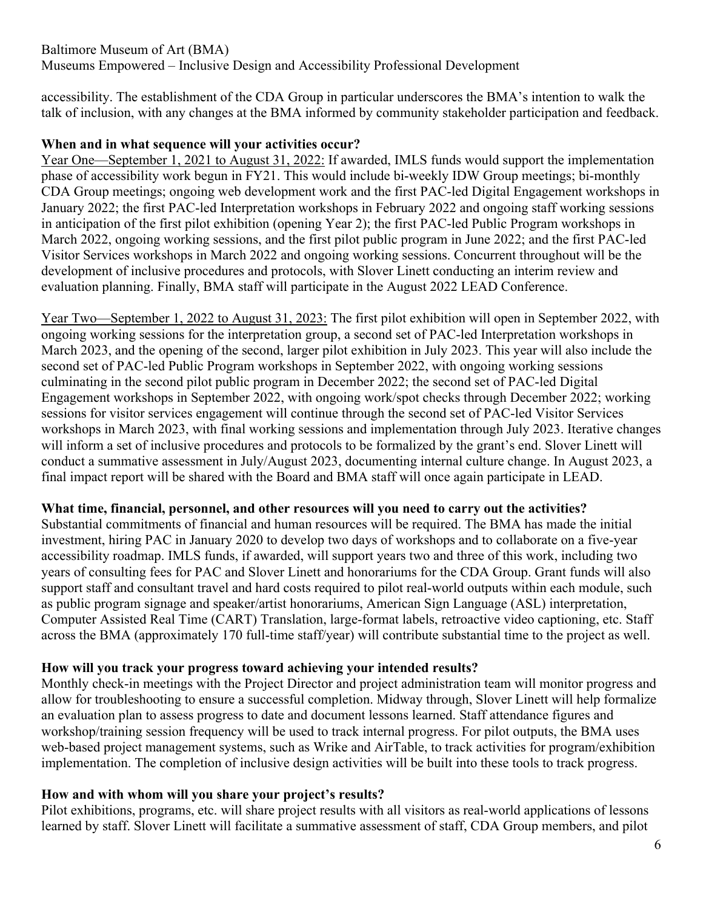accessibility. The establishment of the CDA Group in particular underscores the BMA's intention to walk the talk of inclusion, with any changes at the BMA informed by community stakeholder participation and feedback.

#### **When and in what sequence will your activities occur?**

Year One—September 1, 2021 to August 31, 2022: If awarded, IMLS funds would support the implementation phase of accessibility work begun in FY21. This would include bi-weekly IDW Group meetings; bi-monthly CDA Group meetings; ongoing web development work and the first PAC-led Digital Engagement workshops in January 2022; the first PAC-led Interpretation workshops in February 2022 and ongoing staff working sessions in anticipation of the first pilot exhibition (opening Year 2); the first PAC-led Public Program workshops in March 2022, ongoing working sessions, and the first pilot public program in June 2022; and the first PAC-led Visitor Services workshops in March 2022 and ongoing working sessions. Concurrent throughout will be the development of inclusive procedures and protocols, with Slover Linett conducting an interim review and evaluation planning. Finally, BMA staff will participate in the August 2022 LEAD Conference.

Year Two—September 1, 2022 to August 31, 2023: The first pilot exhibition will open in September 2022, with ongoing working sessions for the interpretation group, a second set of PAC-led Interpretation workshops in March 2023, and the opening of the second, larger pilot exhibition in July 2023. This year will also include the second set of PAC-led Public Program workshops in September 2022, with ongoing working sessions culminating in the second pilot public program in December 2022; the second set of PAC-led Digital Engagement workshops in September 2022, with ongoing work/spot checks through December 2022; working sessions for visitor services engagement will continue through the second set of PAC-led Visitor Services workshops in March 2023, with final working sessions and implementation through July 2023. Iterative changes will inform a set of inclusive procedures and protocols to be formalized by the grant's end. Slover Linett will conduct a summative assessment in July/August 2023, documenting internal culture change. In August 2023, a final impact report will be shared with the Board and BMA staff will once again participate in LEAD.

#### **What time, financial, personnel, and other resources will you need to carry out the activities?**

Substantial commitments of financial and human resources will be required. The BMA has made the initial investment, hiring PAC in January 2020 to develop two days of workshops and to collaborate on a five-year accessibility roadmap. IMLS funds, if awarded, will support years two and three of this work, including two years of consulting fees for PAC and Slover Linett and honorariums for the CDA Group. Grant funds will also support staff and consultant travel and hard costs required to pilot real-world outputs within each module, such as public program signage and speaker/artist honorariums, American Sign Language (ASL) interpretation, Computer Assisted Real Time (CART) Translation, large-format labels, retroactive video captioning, etc. Staff across the BMA (approximately 170 full-time staff/year) will contribute substantial time to the project as well.

# **How will you track your progress toward achieving your intended results?**

Monthly check-in meetings with the Project Director and project administration team will monitor progress and allow for troubleshooting to ensure a successful completion. Midway through, Slover Linett will help formalize an evaluation plan to assess progress to date and document lessons learned. Staff attendance figures and workshop/training session frequency will be used to track internal progress. For pilot outputs, the BMA uses web-based project management systems, such as Wrike and AirTable, to track activities for program/exhibition implementation. The completion of inclusive design activities will be built into these tools to track progress.

# **How and with whom will you share your project's results?**

Pilot exhibitions, programs, etc. will share project results with all visitors as real-world applications of lessons learned by staff. Slover Linett will facilitate a summative assessment of staff, CDA Group members, and pilot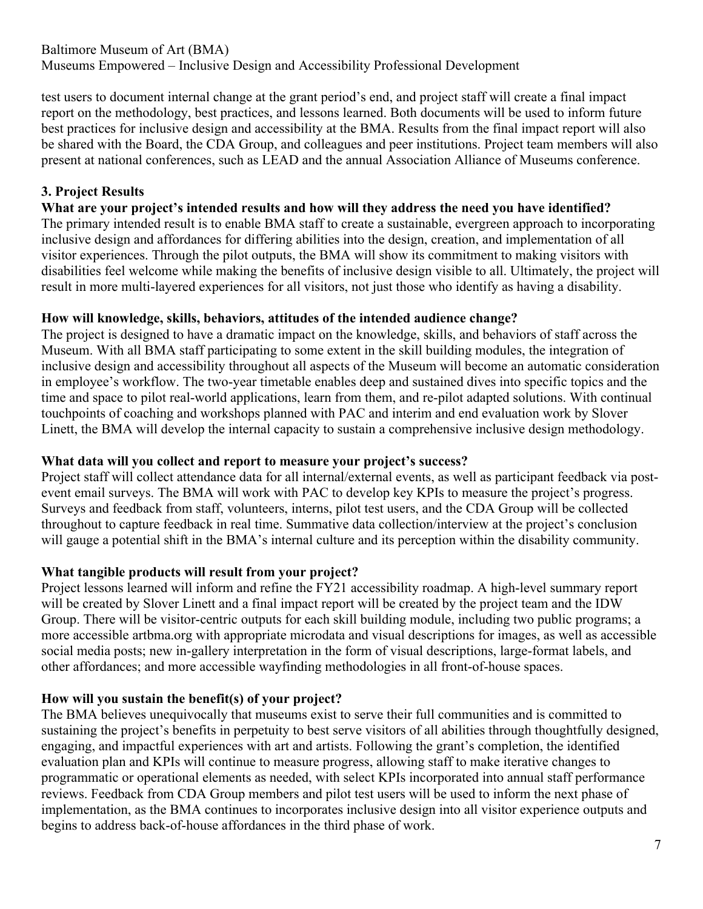test users to document internal change at the grant period's end, and project staff will create a final impact report on the methodology, best practices, and lessons learned. Both documents will be used to inform future best practices for inclusive design and accessibility at the BMA. Results from the final impact report will also be shared with the Board, the CDA Group, and colleagues and peer institutions. Project team members will also present at national conferences, such as LEAD and the annual Association Alliance of Museums conference.

# **3. Project Results**

# **What are your project's intended results and how will they address the need you have identified?**

The primary intended result is to enable BMA staff to create a sustainable, evergreen approach to incorporating inclusive design and affordances for differing abilities into the design, creation, and implementation of all visitor experiences. Through the pilot outputs, the BMA will show its commitment to making visitors with disabilities feel welcome while making the benefits of inclusive design visible to all. Ultimately, the project will result in more multi-layered experiences for all visitors, not just those who identify as having a disability.

# **How will knowledge, skills, behaviors, attitudes of the intended audience change?**

The project is designed to have a dramatic impact on the knowledge, skills, and behaviors of staff across the Museum. With all BMA staff participating to some extent in the skill building modules, the integration of inclusive design and accessibility throughout all aspects of the Museum will become an automatic consideration in employee's workflow. The two-year timetable enables deep and sustained dives into specific topics and the time and space to pilot real-world applications, learn from them, and re-pilot adapted solutions. With continual touchpoints of coaching and workshops planned with PAC and interim and end evaluation work by Slover Linett, the BMA will develop the internal capacity to sustain a comprehensive inclusive design methodology.

# **What data will you collect and report to measure your project's success?**

Project staff will collect attendance data for all internal/external events, as well as participant feedback via postevent email surveys. The BMA will work with PAC to develop key KPIs to measure the project's progress. Surveys and feedback from staff, volunteers, interns, pilot test users, and the CDA Group will be collected throughout to capture feedback in real time. Summative data collection/interview at the project's conclusion will gauge a potential shift in the BMA's internal culture and its perception within the disability community.

# **What tangible products will result from your project?**

Project lessons learned will inform and refine the FY21 accessibility roadmap. A high-level summary report will be created by Slover Linett and a final impact report will be created by the project team and the IDW Group. There will be visitor-centric outputs for each skill building module, including two public programs; a more accessible artbma.org with appropriate microdata and visual descriptions for images, as well as accessible social media posts; new in-gallery interpretation in the form of visual descriptions, large-format labels, and other affordances; and more accessible wayfinding methodologies in all front-of-house spaces.

# **How will you sustain the benefit(s) of your project?**

The BMA believes unequivocally that museums exist to serve their full communities and is committed to sustaining the project's benefits in perpetuity to best serve visitors of all abilities through thoughtfully designed, engaging, and impactful experiences with art and artists. Following the grant's completion, the identified evaluation plan and KPIs will continue to measure progress, allowing staff to make iterative changes to programmatic or operational elements as needed, with select KPIs incorporated into annual staff performance reviews. Feedback from CDA Group members and pilot test users will be used to inform the next phase of implementation, as the BMA continues to incorporates inclusive design into all visitor experience outputs and begins to address back-of-house affordances in the third phase of work.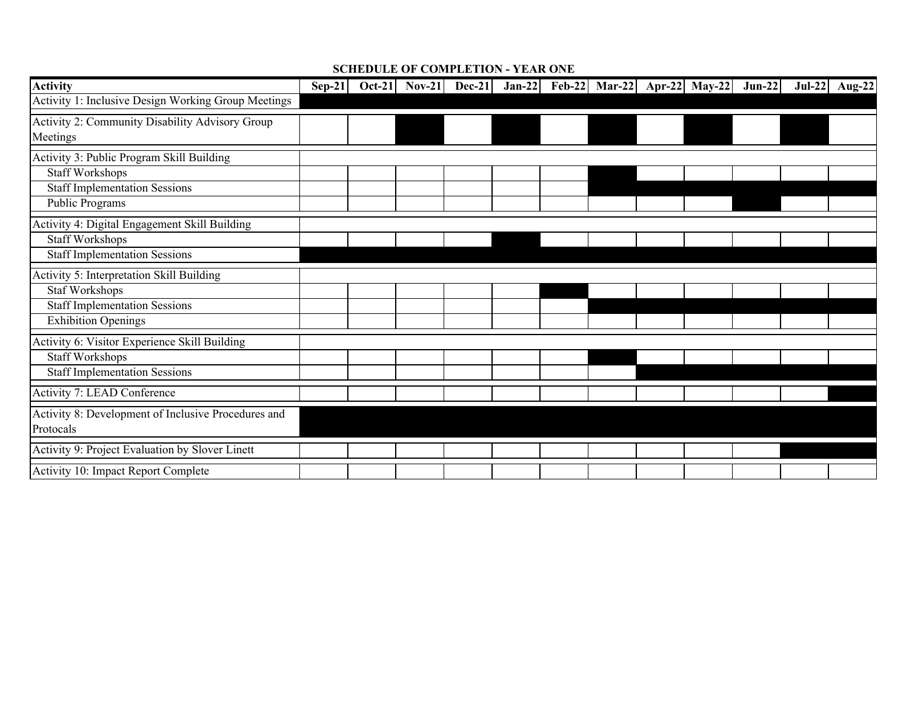#### **SCHEDULE OF COMPLETION - YEAR ONE**

| <b>Activity</b>                                     | $Sep-21$ | Oct-21 Nov-21 Dec-21 Jan-22 Feb-22 Mar-22 Apr-22 May-22 Jun-22 |  |  |  |  | Jul-22 Aug-22 |
|-----------------------------------------------------|----------|----------------------------------------------------------------|--|--|--|--|---------------|
| Activity 1: Inclusive Design Working Group Meetings |          |                                                                |  |  |  |  |               |
| Activity 2: Community Disability Advisory Group     |          |                                                                |  |  |  |  |               |
| Meetings                                            |          |                                                                |  |  |  |  |               |
| Activity 3: Public Program Skill Building           |          |                                                                |  |  |  |  |               |
| <b>Staff Workshops</b>                              |          |                                                                |  |  |  |  |               |
| <b>Staff Implementation Sessions</b>                |          |                                                                |  |  |  |  |               |
| Public Programs                                     |          |                                                                |  |  |  |  |               |
| Activity 4: Digital Engagement Skill Building       |          |                                                                |  |  |  |  |               |
| <b>Staff Workshops</b>                              |          |                                                                |  |  |  |  |               |
| <b>Staff Implementation Sessions</b>                |          |                                                                |  |  |  |  |               |
| Activity 5: Interpretation Skill Building           |          |                                                                |  |  |  |  |               |
| <b>Staf Workshops</b>                               |          |                                                                |  |  |  |  |               |
| <b>Staff Implementation Sessions</b>                |          |                                                                |  |  |  |  |               |
| <b>Exhibition Openings</b>                          |          |                                                                |  |  |  |  |               |
| Activity 6: Visitor Experience Skill Building       |          |                                                                |  |  |  |  |               |
| <b>Staff Workshops</b>                              |          |                                                                |  |  |  |  |               |
| <b>Staff Implementation Sessions</b>                |          |                                                                |  |  |  |  |               |
| Activity 7: LEAD Conference                         |          |                                                                |  |  |  |  |               |
| Activity 8: Development of Inclusive Procedures and |          |                                                                |  |  |  |  |               |
| Protocals                                           |          |                                                                |  |  |  |  |               |
| Activity 9: Project Evaluation by Slover Linett     |          |                                                                |  |  |  |  |               |
| Activity 10: Impact Report Complete                 |          |                                                                |  |  |  |  |               |